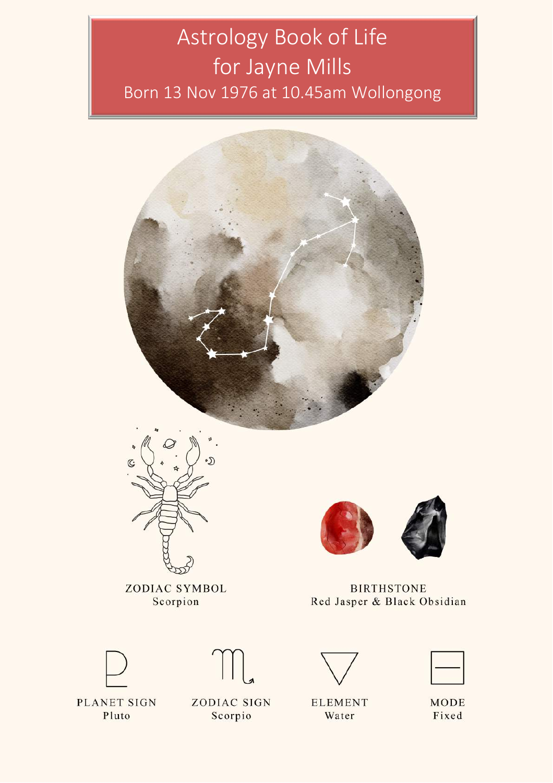# Astrology Book of Life for Jayne Mills Born 13 Nov 1976 at 10.45am Wollongong

♡



ZODIAC SYMBOL Scorpion



**BIRTHSTONE** Red Jasper & Black Obsidian





**PLANET SIGN** Pluto

**ZODIAC SIGN** Scorpio



**ELEMENT** Water



**MODE** Fixed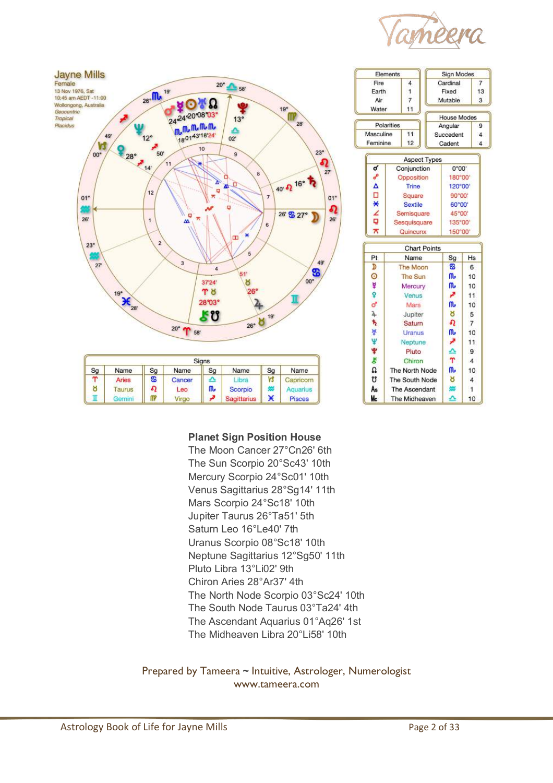



| Elements              |                             | <b>Sign Modes</b> |                         |                |
|-----------------------|-----------------------------|-------------------|-------------------------|----------------|
| Fire                  | $\overline{4}$              |                   | Cardinal                |                |
| Earth                 | 1                           |                   | Fixed                   |                |
| Air                   | 7                           |                   | Mutable                 |                |
| Water                 | 11                          |                   |                         |                |
| Polarities            |                             |                   | <b>House Modes</b><br>9 |                |
| 11<br>Masculine       |                             |                   | Angular                 |                |
| Feminine              | 12                          |                   | Succedent<br>Cadent     |                |
|                       |                             |                   |                         | 4              |
|                       | <b>Aspect Types</b>         |                   |                         |                |
| ď                     | Conjunction                 |                   | 0°00'                   |                |
| ₽                     | Opposition                  |                   | 180°00'                 |                |
| $\frac{\Delta}{\Box}$ | Trine                       |                   | 120°00'                 |                |
|                       | Square                      |                   | 90°00'                  |                |
| $\overline{\ast}$     | <b>Sextile</b>              |                   | 60°00'                  |                |
| 4                     | Semisquare                  |                   | 45°00'                  |                |
|                       | Sesquisquare                |                   | 135°00'                 |                |
| $\overline{\pi}$      | Quincunx<br>150°00'         |                   |                         |                |
|                       |                             |                   |                         |                |
| Pt                    | <b>Chart Points</b><br>Name |                   | Sg                      | <b>Hs</b>      |
|                       |                             |                   |                         |                |
|                       |                             |                   |                         |                |
| D                     | The Moon                    |                   | S                       | 6              |
| O                     | The Sun                     |                   | ጤ                       | 10             |
| ¥                     | Mercury                     |                   | m,                      | 10             |
| ò                     | Venus                       |                   | ₽                       | 11             |
| ď                     | Mars                        |                   | ጤ                       | 10             |
| 4                     | Jupiter                     |                   | ୪                       | 5              |
| ħ                     | Saturn                      |                   | Ω                       | $\overline{7}$ |
| ×                     | Uranus                      |                   | m,                      | 10             |
| Ψ                     | Neptune                     |                   | ø                       | 11             |
| ÷                     | Pluto                       |                   | ≏                       | 9              |
| R                     | Chiron                      |                   | Ϋ                       | $\overline{4}$ |
| U                     | The North Node              |                   | m,                      | 10             |
| ิซิ                   | The South Node              |                   | ಕ                       | $\overline{4}$ |
| As<br>Mс              | The Ascendant               |                   | æ                       | $\mathbf{1}$   |

#### **Planet Sign Position House**

The Moon Cancer 27°Cn26' 6th The Sun Scorpio 20°Sc43' 10th Mercury Scorpio 24°Sc01' 10th Venus Sagittarius 28°Sg14' 11th Mars Scorpio 24°Sc18' 10th Jupiter Taurus 26°Ta51' 5th Saturn Leo 16°Le40' 7th Uranus Scorpio 08°Sc18' 10th Neptune Sagittarius 12°Sg50' 11th Pluto Libra 13°Li02' 9th Chiron Aries 28°Ar37' 4th The North Node Scorpio 03°Sc24' 10th The South Node Taurus 03°Ta24' 4th The Ascendant Aquarius 01°Aq26' 1st The Midheaven Libra 20°Li58' 10th

Prepared by Tameera **~** Intuitive, Astrologer, Numerologist www.tameera.com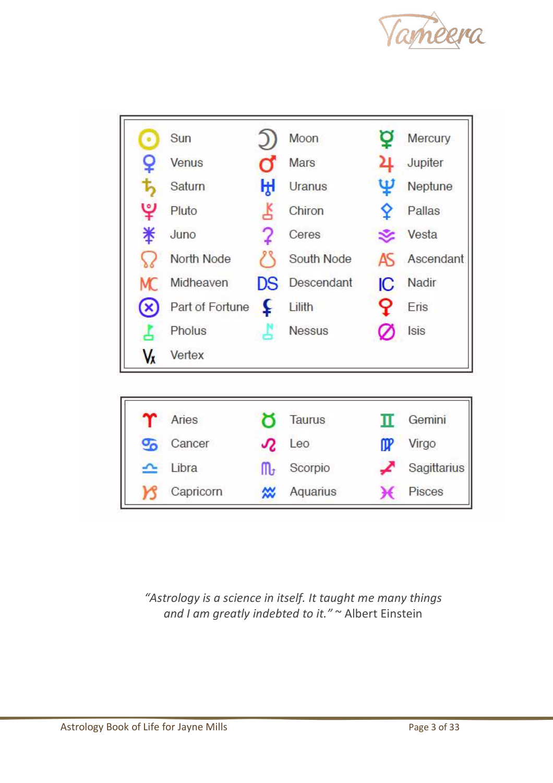



*"Astrology is a science in itself. It taught me many things and I am greatly indebted to it."* ~ Albert Einstein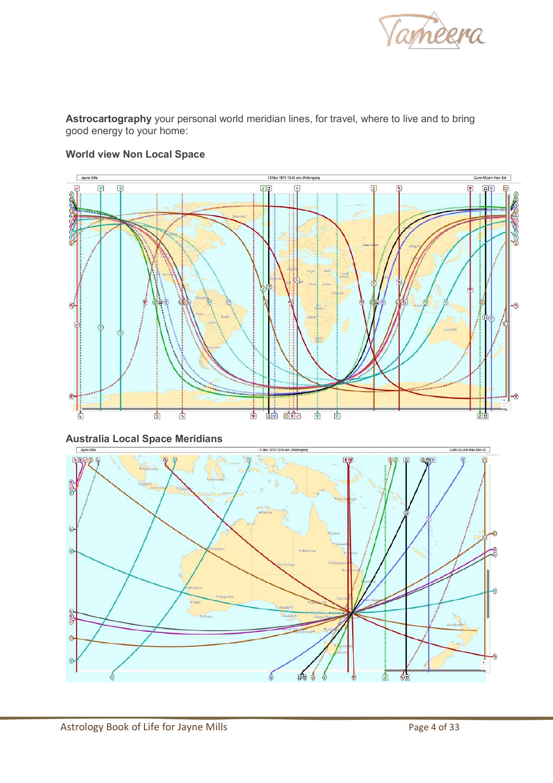

**Astrocartography** your personal world meridian lines, for travel, where to live and to bring good energy to your home:



#### **World view Non Local Space**

**Australia Local Space Meridians**

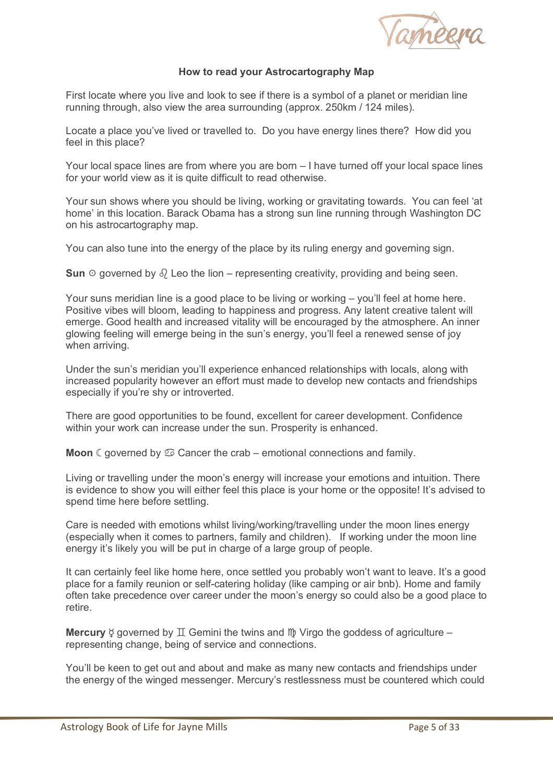

#### **How to read your Astrocartography Map**

First locate where you live and look to see if there is a symbol of a planet or meridian line running through, also view the area surrounding (approx. 250km / 124 miles).

Locate a place you've lived or travelled to. Do you have energy lines there? How did you feel in this place?

Your local space lines are from where you are born – I have turned off your local space lines for your world view as it is quite difficult to read otherwise.

Your sun shows where you should be living, working or gravitating towards. You can feel 'at home' in this location. Barack Obama has a strong sun line running through Washington DC on his astrocartography map.

You can also tune into the energy of the place by its ruling energy and governing sign.

**Sun**  $\circ$  governed by  $\delta$  Leo the lion – representing creativity, providing and being seen.

Your suns meridian line is a good place to be living or working – you'll feel at home here. Positive vibes will bloom, leading to happiness and progress. Any latent creative talent will emerge. Good health and increased vitality will be encouraged by the atmosphere. An inner glowing feeling will emerge being in the sun's energy, you'll feel a renewed sense of joy when arriving.

Under the sun's meridian you'll experience enhanced relationships with locals, along with increased popularity however an effort must made to develop new contacts and friendships especially if you're shy or introverted.

There are good opportunities to be found, excellent for career development. Confidence within your work can increase under the sun. Prosperity is enhanced.

**Moon**  $\mathbb{C}$  governed by  $\mathfrak{D}$  Cancer the crab – emotional connections and family.

Living or travelling under the moon's energy will increase your emotions and intuition. There is evidence to show you will either feel this place is your home or the opposite! It's advised to spend time here before settling.

Care is needed with emotions whilst living/working/travelling under the moon lines energy (especially when it comes to partners, family and children). If working under the moon line energy it's likely you will be put in charge of a large group of people.

It can certainly feel like home here, once settled you probably won't want to leave. It's a good place for a family reunion or self-catering holiday (like camping or air bnb). Home and family often take precedence over career under the moon's energy so could also be a good place to retire.

**Mercury**  $\circ$  governed by  $\mathbb{I}$  Gemini the twins and  $\mathbb{I}$  Virgo the goddess of agriculture – representing change, being of service and connections.

You'll be keen to get out and about and make as many new contacts and friendships under the energy of the winged messenger. Mercury's restlessness must be countered which could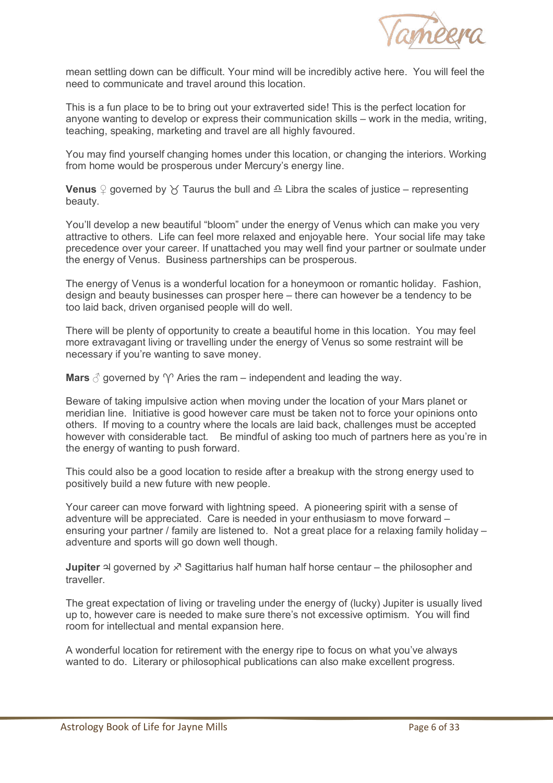

mean settling down can be difficult. Your mind will be incredibly active here. You will feel the need to communicate and travel around this location.

This is a fun place to be to bring out your extraverted side! This is the perfect location for anyone wanting to develop or express their communication skills – work in the media, writing, teaching, speaking, marketing and travel are all highly favoured.

You may find yourself changing homes under this location, or changing the interiors. Working from home would be prosperous under Mercury's energy line.

**Venus**  $\Omega$  governed by  $\chi$  Taurus the bull and  $\Omega$  Libra the scales of justice – representing beauty.

You'll develop a new beautiful "bloom" under the energy of Venus which can make you very attractive to others. Life can feel more relaxed and enjoyable here. Your social life may take precedence over your career. If unattached you may well find your partner or soulmate under the energy of Venus. Business partnerships can be prosperous.

The energy of Venus is a wonderful location for a honeymoon or romantic holiday. Fashion, design and beauty businesses can prosper here – there can however be a tendency to be too laid back, driven organised people will do well.

There will be plenty of opportunity to create a beautiful home in this location. You may feel more extravagant living or travelling under the energy of Venus so some restraint will be necessary if you're wanting to save money.

**Mars**  $\beta$  governed by  $\gamma$  Aries the ram – independent and leading the way.

Beware of taking impulsive action when moving under the location of your Mars planet or meridian line. Initiative is good however care must be taken not to force your opinions onto others. If moving to a country where the locals are laid back, challenges must be accepted however with considerable tact. Be mindful of asking too much of partners here as you're in the energy of wanting to push forward.

This could also be a good location to reside after a breakup with the strong energy used to positively build a new future with new people.

Your career can move forward with lightning speed. A pioneering spirit with a sense of adventure will be appreciated. Care is needed in your enthusiasm to move forward – ensuring your partner / family are listened to. Not a great place for a relaxing family holiday – adventure and sports will go down well though.

**Jupiter া** governed by  $\chi$ <sup>7</sup> Sagittarius half human half horse centaur – the philosopher and traveller.

The great expectation of living or traveling under the energy of (lucky) Jupiter is usually lived up to, however care is needed to make sure there's not excessive optimism. You will find room for intellectual and mental expansion here.

A wonderful location for retirement with the energy ripe to focus on what you've always wanted to do. Literary or philosophical publications can also make excellent progress.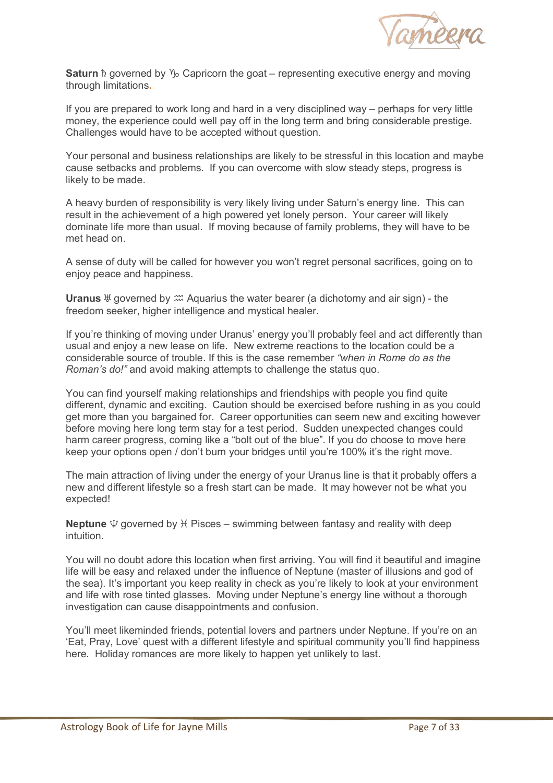

**Saturn h** governed by  $\mathcal{V}_0$  Capricorn the goat – representing executive energy and moving through limitations**.**

If you are prepared to work long and hard in a very disciplined way – perhaps for very little money, the experience could well pay off in the long term and bring considerable prestige. Challenges would have to be accepted without question.

Your personal and business relationships are likely to be stressful in this location and maybe cause setbacks and problems. If you can overcome with slow steady steps, progress is likely to be made.

A heavy burden of responsibility is very likely living under Saturn's energy line. This can result in the achievement of a high powered yet lonely person. Your career will likely dominate life more than usual. If moving because of family problems, they will have to be met head on.

A sense of duty will be called for however you won't regret personal sacrifices, going on to enjoy peace and happiness.

**Uranus**  $\frac{1}{2}$  governed by  $\frac{1}{2}$  Aquarius the water bearer (a dichotomy and air sign) - the freedom seeker, higher intelligence and mystical healer.

If you're thinking of moving under Uranus' energy you'll probably feel and act differently than usual and enjoy a new lease on life. New extreme reactions to the location could be a considerable source of trouble. If this is the case remember *"when in Rome do as the Roman's do!"* and avoid making attempts to challenge the status quo.

You can find yourself making relationships and friendships with people you find quite different, dynamic and exciting. Caution should be exercised before rushing in as you could get more than you bargained for. Career opportunities can seem new and exciting however before moving here long term stay for a test period. Sudden unexpected changes could harm career progress, coming like a "bolt out of the blue". If you do choose to move here keep your options open / don't burn your bridges until you're 100% it's the right move.

The main attraction of living under the energy of your Uranus line is that it probably offers a new and different lifestyle so a fresh start can be made. It may however not be what you expected!

**Neptune**  $\Psi$  governed by  $H$  Pisces – swimming between fantasy and reality with deep intuition.

You will no doubt adore this location when first arriving. You will find it beautiful and imagine life will be easy and relaxed under the influence of Neptune (master of illusions and god of the sea). It's important you keep reality in check as you're likely to look at your environment and life with rose tinted glasses. Moving under Neptune's energy line without a thorough investigation can cause disappointments and confusion.

You'll meet likeminded friends, potential lovers and partners under Neptune. If you're on an 'Eat, Pray, Love' quest with a different lifestyle and spiritual community you'll find happiness here. Holiday romances are more likely to happen yet unlikely to last.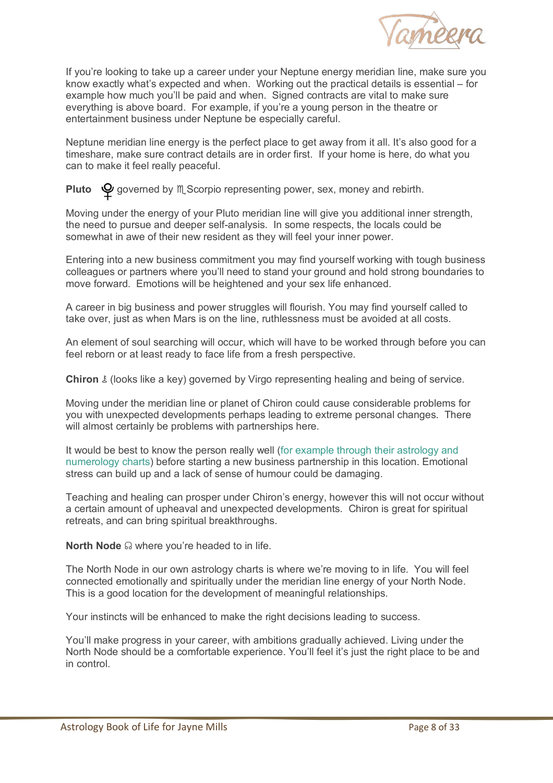

If you're looking to take up a career under your Neptune energy meridian line, make sure you know exactly what's expected and when. Working out the practical details is essential – for example how much you'll be paid and when. Signed contracts are vital to make sure everything is above board. For example, if you're a young person in the theatre or entertainment business under Neptune be especially careful.

Neptune meridian line energy is the perfect place to get away from it all. It's also good for a timeshare, make sure contract details are in order first. If your home is here, do what you can to make it feel really peaceful.

**Pluto**  $\mathbf{\mathcal{Q}}$  governed by  $M$ , Scorpio representing power, sex, money and rebirth.

Moving under the energy of your Pluto meridian line will give you additional inner strength, the need to pursue and deeper self-analysis. In some respects, the locals could be somewhat in awe of their new resident as they will feel your inner power.

Entering into a new business commitment you may find yourself working with tough business colleagues or partners where you'll need to stand your ground and hold strong boundaries to move forward. Emotions will be heightened and your sex life enhanced.

A career in big business and power struggles will flourish. You may find yourself called to take over, just as when Mars is on the line, ruthlessness must be avoided at all costs.

An element of soul searching will occur, which will have to be worked through before you can feel reborn or at least ready to face life from a fresh perspective.

**Chiron** ⚷ (looks like a key) governed by Virgo representing healing and being of service.

Moving under the meridian line or planet of Chiron could cause considerable problems for you with unexpected developments perhaps leading to extreme personal changes. There will almost certainly be problems with partnerships here.

It would be best to know the person really well (for example through their astrology and numerology charts) before starting a new business partnership in this location. Emotional stress can build up and a lack of sense of humour could be damaging.

Teaching and healing can prosper under Chiron's energy, however this will not occur without a certain amount of upheaval and unexpected developments. Chiron is great for spiritual retreats, and can bring spiritual breakthroughs.

**North Node** ☊ where you're headed to in life.

The North Node in our own astrology charts is where we're moving to in life. You will feel connected emotionally and spiritually under the meridian line energy of your North Node. This is a good location for the development of meaningful relationships.

Your instincts will be enhanced to make the right decisions leading to success.

You'll make progress in your career, with ambitions gradually achieved. Living under the North Node should be a comfortable experience. You'll feel it's just the right place to be and in control.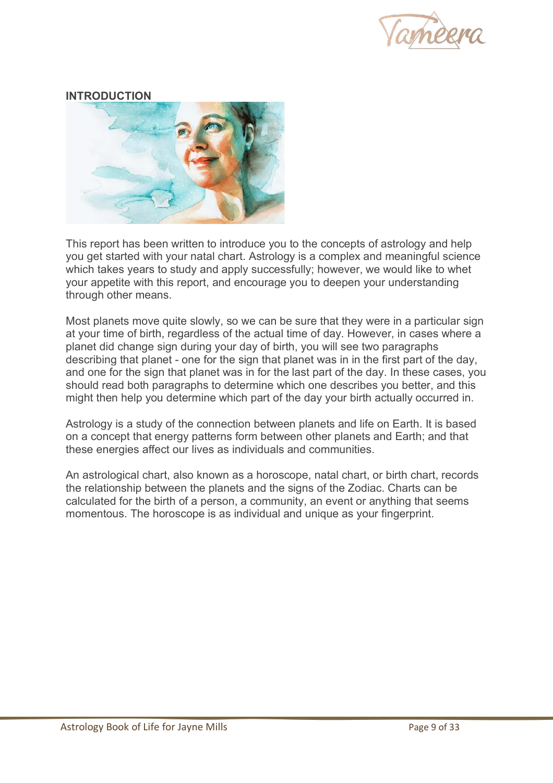

# **INTRODUCTION**



This report has been written to introduce you to the concepts of astrology and help you get started with your natal chart. Astrology is a complex and meaningful science which takes years to study and apply successfully; however, we would like to whet your appetite with this report, and encourage you to deepen your understanding through other means.

Most planets move quite slowly, so we can be sure that they were in a particular sign at your time of birth, regardless of the actual time of day. However, in cases where a planet did change sign during your day of birth, you will see two paragraphs describing that planet - one for the sign that planet was in in the first part of the day, and one for the sign that planet was in for the last part of the day. In these cases, you should read both paragraphs to determine which one describes you better, and this might then help you determine which part of the day your birth actually occurred in.

Astrology is a study of the connection between planets and life on Earth. It is based on a concept that energy patterns form between other planets and Earth; and that these energies affect our lives as individuals and communities.

An astrological chart, also known as a horoscope, natal chart, or birth chart, records the relationship between the planets and the signs of the Zodiac. Charts can be calculated for the birth of a person, a community, an event or anything that seems momentous. The horoscope is as individual and unique as your fingerprint.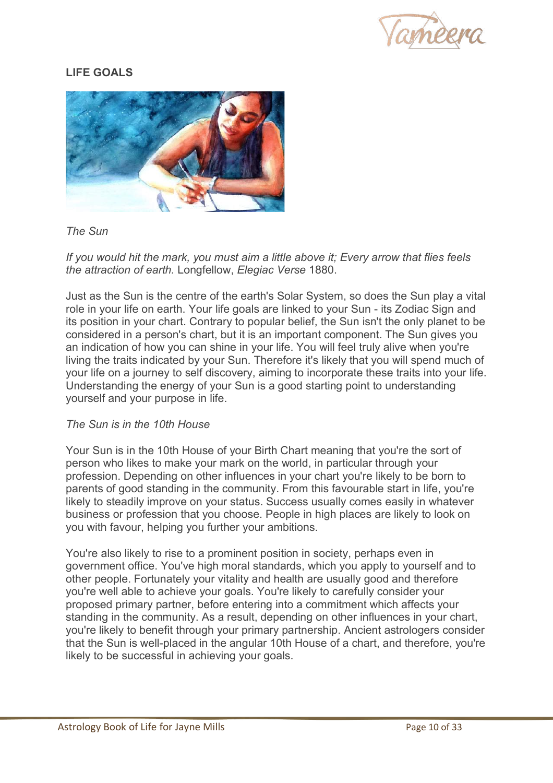

# **LIFE GOALS**



*The Sun* 

*If you would hit the mark, you must aim a little above it; Every arrow that flies feels the attraction of earth.* Longfellow, *Elegiac Verse* 1880.

Just as the Sun is the centre of the earth's Solar System, so does the Sun play a vital role in your life on earth. Your life goals are linked to your Sun - its Zodiac Sign and its position in your chart. Contrary to popular belief, the Sun isn't the only planet to be considered in a person's chart, but it is an important component. The Sun gives you an indication of how you can shine in your life. You will feel truly alive when you're living the traits indicated by your Sun. Therefore it's likely that you will spend much of your life on a journey to self discovery, aiming to incorporate these traits into your life. Understanding the energy of your Sun is a good starting point to understanding yourself and your purpose in life.

#### *The Sun is in the 10th House*

Your Sun is in the 10th House of your Birth Chart meaning that you're the sort of person who likes to make your mark on the world, in particular through your profession. Depending on other influences in your chart you're likely to be born to parents of good standing in the community. From this favourable start in life, you're likely to steadily improve on your status. Success usually comes easily in whatever business or profession that you choose. People in high places are likely to look on you with favour, helping you further your ambitions.

You're also likely to rise to a prominent position in society, perhaps even in government office. You've high moral standards, which you apply to yourself and to other people. Fortunately your vitality and health are usually good and therefore you're well able to achieve your goals. You're likely to carefully consider your proposed primary partner, before entering into a commitment which affects your standing in the community. As a result, depending on other influences in your chart, you're likely to benefit through your primary partnership. Ancient astrologers consider that the Sun is well-placed in the angular 10th House of a chart, and therefore, you're likely to be successful in achieving your goals.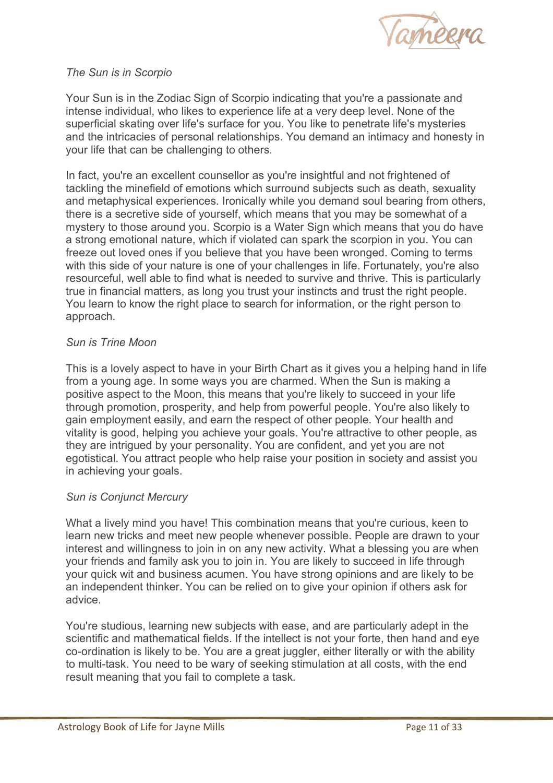

# *The Sun is in Scorpio*

Your Sun is in the Zodiac Sign of Scorpio indicating that you're a passionate and intense individual, who likes to experience life at a very deep level. None of the superficial skating over life's surface for you. You like to penetrate life's mysteries and the intricacies of personal relationships. You demand an intimacy and honesty in your life that can be challenging to others.

In fact, you're an excellent counsellor as you're insightful and not frightened of tackling the minefield of emotions which surround subjects such as death, sexuality and metaphysical experiences. Ironically while you demand soul bearing from others, there is a secretive side of yourself, which means that you may be somewhat of a mystery to those around you. Scorpio is a Water Sign which means that you do have a strong emotional nature, which if violated can spark the scorpion in you. You can freeze out loved ones if you believe that you have been wronged. Coming to terms with this side of your nature is one of your challenges in life. Fortunately, you're also resourceful, well able to find what is needed to survive and thrive. This is particularly true in financial matters, as long you trust your instincts and trust the right people. You learn to know the right place to search for information, or the right person to approach.

# *Sun is Trine Moon*

This is a lovely aspect to have in your Birth Chart as it gives you a helping hand in life from a young age. In some ways you are charmed. When the Sun is making a positive aspect to the Moon, this means that you're likely to succeed in your life through promotion, prosperity, and help from powerful people. You're also likely to gain employment easily, and earn the respect of other people. Your health and vitality is good, helping you achieve your goals. You're attractive to other people, as they are intrigued by your personality. You are confident, and yet you are not egotistical. You attract people who help raise your position in society and assist you in achieving your goals.

# *Sun is Conjunct Mercury*

What a lively mind you have! This combination means that you're curious, keen to learn new tricks and meet new people whenever possible. People are drawn to your interest and willingness to join in on any new activity. What a blessing you are when your friends and family ask you to join in. You are likely to succeed in life through your quick wit and business acumen. You have strong opinions and are likely to be an independent thinker. You can be relied on to give your opinion if others ask for advice.

You're studious, learning new subjects with ease, and are particularly adept in the scientific and mathematical fields. If the intellect is not your forte, then hand and eye co-ordination is likely to be. You are a great juggler, either literally or with the ability to multi-task. You need to be wary of seeking stimulation at all costs, with the end result meaning that you fail to complete a task.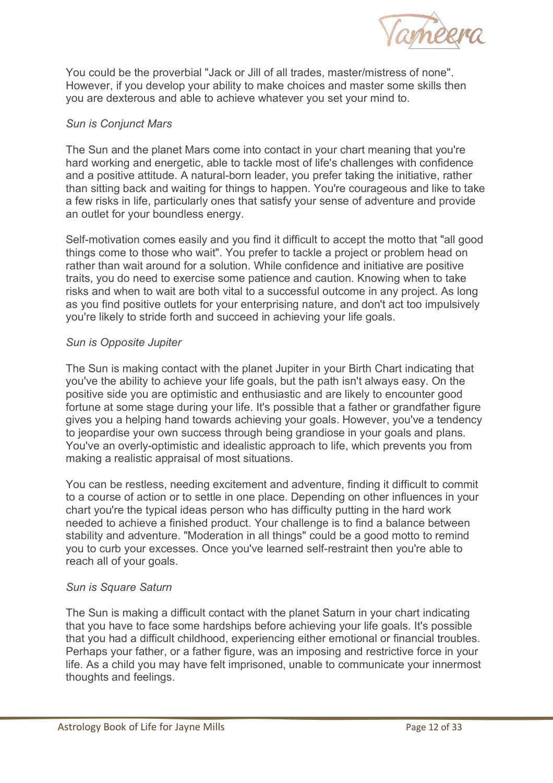

You could be the proverbial "Jack or Jill of all trades, master/mistress of none". However, if you develop your ability to make choices and master some skills then you are dexterous and able to achieve whatever you set your mind to.

# *Sun is Conjunct Mars*

The Sun and the planet Mars come into contact in your chart meaning that you're hard working and energetic, able to tackle most of life's challenges with confidence and a positive attitude. A natural-born leader, you prefer taking the initiative, rather than sitting back and waiting for things to happen. You're courageous and like to take a few risks in life, particularly ones that satisfy your sense of adventure and provide an outlet for your boundless energy.

Self-motivation comes easily and you find it difficult to accept the motto that "all good things come to those who wait". You prefer to tackle a project or problem head on rather than wait around for a solution. While confidence and initiative are positive traits, you do need to exercise some patience and caution. Knowing when to take risks and when to wait are both vital to a successful outcome in any project. As long as you find positive outlets for your enterprising nature, and don't act too impulsively you're likely to stride forth and succeed in achieving your life goals.

#### *Sun is Opposite Jupiter*

The Sun is making contact with the planet Jupiter in your Birth Chart indicating that you've the ability to achieve your life goals, but the path isn't always easy. On the positive side you are optimistic and enthusiastic and are likely to encounter good fortune at some stage during your life. It's possible that a father or grandfather figure gives you a helping hand towards achieving your goals. However, you've a tendency to jeopardise your own success through being grandiose in your goals and plans. You've an overly-optimistic and idealistic approach to life, which prevents you from making a realistic appraisal of most situations.

You can be restless, needing excitement and adventure, finding it difficult to commit to a course of action or to settle in one place. Depending on other influences in your chart you're the typical ideas person who has difficulty putting in the hard work needed to achieve a finished product. Your challenge is to find a balance between stability and adventure. "Moderation in all things" could be a good motto to remind you to curb your excesses. Once you've learned self-restraint then you're able to reach all of your goals.

#### *Sun is Square Saturn*

The Sun is making a difficult contact with the planet Saturn in your chart indicating that you have to face some hardships before achieving your life goals. It's possible that you had a difficult childhood, experiencing either emotional or financial troubles. Perhaps your father, or a father figure, was an imposing and restrictive force in your life. As a child you may have felt imprisoned, unable to communicate your innermost thoughts and feelings.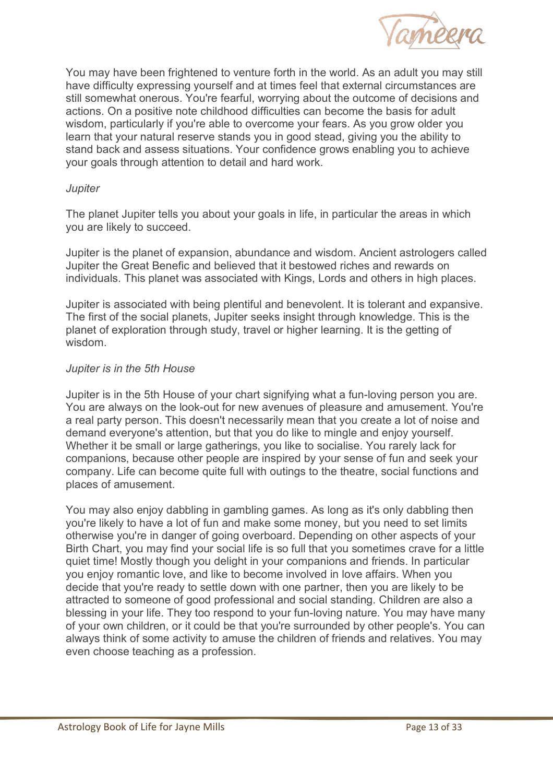

You may have been frightened to venture forth in the world. As an adult you may still have difficulty expressing yourself and at times feel that external circumstances are still somewhat onerous. You're fearful, worrying about the outcome of decisions and actions. On a positive note childhood difficulties can become the basis for adult wisdom, particularly if you're able to overcome your fears. As you grow older you learn that your natural reserve stands you in good stead, giving you the ability to stand back and assess situations. Your confidence grows enabling you to achieve your goals through attention to detail and hard work.

#### *Jupiter*

The planet Jupiter tells you about your goals in life, in particular the areas in which you are likely to succeed.

Jupiter is the planet of expansion, abundance and wisdom. Ancient astrologers called Jupiter the Great Benefic and believed that it bestowed riches and rewards on individuals. This planet was associated with Kings, Lords and others in high places.

Jupiter is associated with being plentiful and benevolent. It is tolerant and expansive. The first of the social planets, Jupiter seeks insight through knowledge. This is the planet of exploration through study, travel or higher learning. It is the getting of wisdom.

#### *Jupiter is in the 5th House*

Jupiter is in the 5th House of your chart signifying what a fun-loving person you are. You are always on the look-out for new avenues of pleasure and amusement. You're a real party person. This doesn't necessarily mean that you create a lot of noise and demand everyone's attention, but that you do like to mingle and enjoy yourself. Whether it be small or large gatherings, you like to socialise. You rarely lack for companions, because other people are inspired by your sense of fun and seek your company. Life can become quite full with outings to the theatre, social functions and places of amusement.

You may also enjoy dabbling in gambling games. As long as it's only dabbling then you're likely to have a lot of fun and make some money, but you need to set limits otherwise you're in danger of going overboard. Depending on other aspects of your Birth Chart, you may find your social life is so full that you sometimes crave for a little quiet time! Mostly though you delight in your companions and friends. In particular you enjoy romantic love, and like to become involved in love affairs. When you decide that you're ready to settle down with one partner, then you are likely to be attracted to someone of good professional and social standing. Children are also a blessing in your life. They too respond to your fun-loving nature. You may have many of your own children, or it could be that you're surrounded by other people's. You can always think of some activity to amuse the children of friends and relatives. You may even choose teaching as a profession.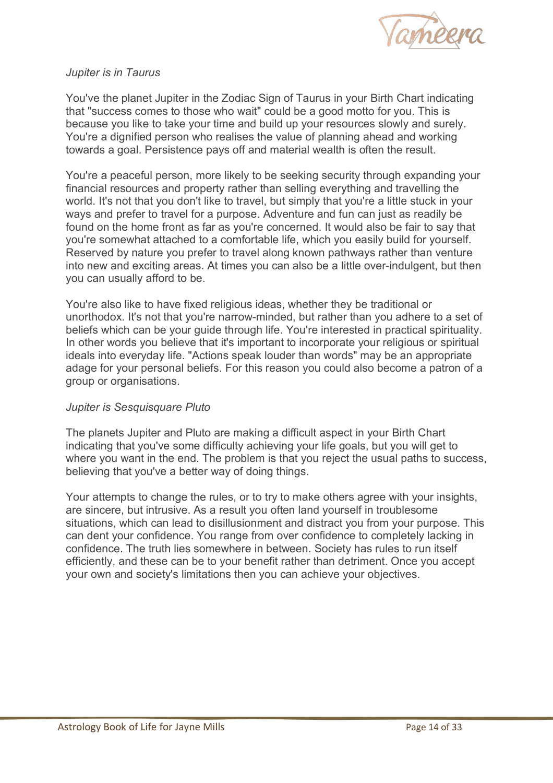

## *Jupiter is in Taurus*

You've the planet Jupiter in the Zodiac Sign of Taurus in your Birth Chart indicating that "success comes to those who wait" could be a good motto for you. This is because you like to take your time and build up your resources slowly and surely. You're a dignified person who realises the value of planning ahead and working towards a goal. Persistence pays off and material wealth is often the result.

You're a peaceful person, more likely to be seeking security through expanding your financial resources and property rather than selling everything and travelling the world. It's not that you don't like to travel, but simply that you're a little stuck in your ways and prefer to travel for a purpose. Adventure and fun can just as readily be found on the home front as far as you're concerned. It would also be fair to say that you're somewhat attached to a comfortable life, which you easily build for yourself. Reserved by nature you prefer to travel along known pathways rather than venture into new and exciting areas. At times you can also be a little over-indulgent, but then you can usually afford to be.

You're also like to have fixed religious ideas, whether they be traditional or unorthodox. It's not that you're narrow-minded, but rather than you adhere to a set of beliefs which can be your guide through life. You're interested in practical spirituality. In other words you believe that it's important to incorporate your religious or spiritual ideals into everyday life. "Actions speak louder than words" may be an appropriate adage for your personal beliefs. For this reason you could also become a patron of a group or organisations.

#### *Jupiter is Sesquisquare Pluto*

The planets Jupiter and Pluto are making a difficult aspect in your Birth Chart indicating that you've some difficulty achieving your life goals, but you will get to where you want in the end. The problem is that you reject the usual paths to success, believing that you've a better way of doing things.

Your attempts to change the rules, or to try to make others agree with your insights, are sincere, but intrusive. As a result you often land yourself in troublesome situations, which can lead to disillusionment and distract you from your purpose. This can dent your confidence. You range from over confidence to completely lacking in confidence. The truth lies somewhere in between. Society has rules to run itself efficiently, and these can be to your benefit rather than detriment. Once you accept your own and society's limitations then you can achieve your objectives.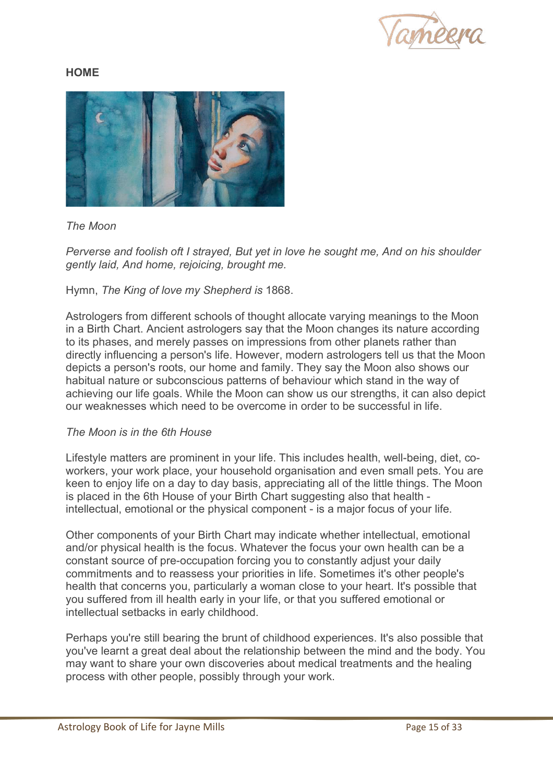

# **HOME**



# *The Moon*

*Perverse and foolish oft I strayed, But yet in love he sought me, And on his shoulder gently laid, And home, rejoicing, brought me.* 

Hymn, *The King of love my Shepherd is* 1868.

Astrologers from different schools of thought allocate varying meanings to the Moon in a Birth Chart. Ancient astrologers say that the Moon changes its nature according to its phases, and merely passes on impressions from other planets rather than directly influencing a person's life. However, modern astrologers tell us that the Moon depicts a person's roots, our home and family. They say the Moon also shows our habitual nature or subconscious patterns of behaviour which stand in the way of achieving our life goals. While the Moon can show us our strengths, it can also depict our weaknesses which need to be overcome in order to be successful in life.

#### *The Moon is in the 6th House*

Lifestyle matters are prominent in your life. This includes health, well-being, diet, coworkers, your work place, your household organisation and even small pets. You are keen to enjoy life on a day to day basis, appreciating all of the little things. The Moon is placed in the 6th House of your Birth Chart suggesting also that health intellectual, emotional or the physical component - is a major focus of your life.

Other components of your Birth Chart may indicate whether intellectual, emotional and/or physical health is the focus. Whatever the focus your own health can be a constant source of pre-occupation forcing you to constantly adjust your daily commitments and to reassess your priorities in life. Sometimes it's other people's health that concerns you, particularly a woman close to your heart. It's possible that you suffered from ill health early in your life, or that you suffered emotional or intellectual setbacks in early childhood.

Perhaps you're still bearing the brunt of childhood experiences. It's also possible that you've learnt a great deal about the relationship between the mind and the body. You may want to share your own discoveries about medical treatments and the healing process with other people, possibly through your work.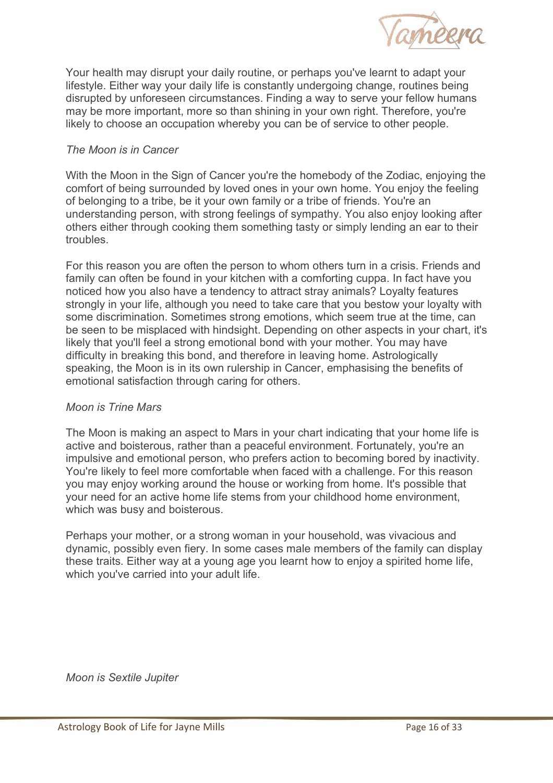

Your health may disrupt your daily routine, or perhaps you've learnt to adapt your lifestyle. Either way your daily life is constantly undergoing change, routines being disrupted by unforeseen circumstances. Finding a way to serve your fellow humans may be more important, more so than shining in your own right. Therefore, you're likely to choose an occupation whereby you can be of service to other people.

# *The Moon is in Cancer*

With the Moon in the Sign of Cancer you're the homebody of the Zodiac, enjoying the comfort of being surrounded by loved ones in your own home. You enjoy the feeling of belonging to a tribe, be it your own family or a tribe of friends. You're an understanding person, with strong feelings of sympathy. You also enjoy looking after others either through cooking them something tasty or simply lending an ear to their troubles.

For this reason you are often the person to whom others turn in a crisis. Friends and family can often be found in your kitchen with a comforting cuppa. In fact have you noticed how you also have a tendency to attract stray animals? Loyalty features strongly in your life, although you need to take care that you bestow your loyalty with some discrimination. Sometimes strong emotions, which seem true at the time, can be seen to be misplaced with hindsight. Depending on other aspects in your chart, it's likely that you'll feel a strong emotional bond with your mother. You may have difficulty in breaking this bond, and therefore in leaving home. Astrologically speaking, the Moon is in its own rulership in Cancer, emphasising the benefits of emotional satisfaction through caring for others.

#### *Moon is Trine Mars*

The Moon is making an aspect to Mars in your chart indicating that your home life is active and boisterous, rather than a peaceful environment. Fortunately, you're an impulsive and emotional person, who prefers action to becoming bored by inactivity. You're likely to feel more comfortable when faced with a challenge. For this reason you may enjoy working around the house or working from home. It's possible that your need for an active home life stems from your childhood home environment, which was busy and boisterous.

Perhaps your mother, or a strong woman in your household, was vivacious and dynamic, possibly even fiery. In some cases male members of the family can display these traits. Either way at a young age you learnt how to enjoy a spirited home life, which you've carried into your adult life.

*Moon is Sextile Jupiter*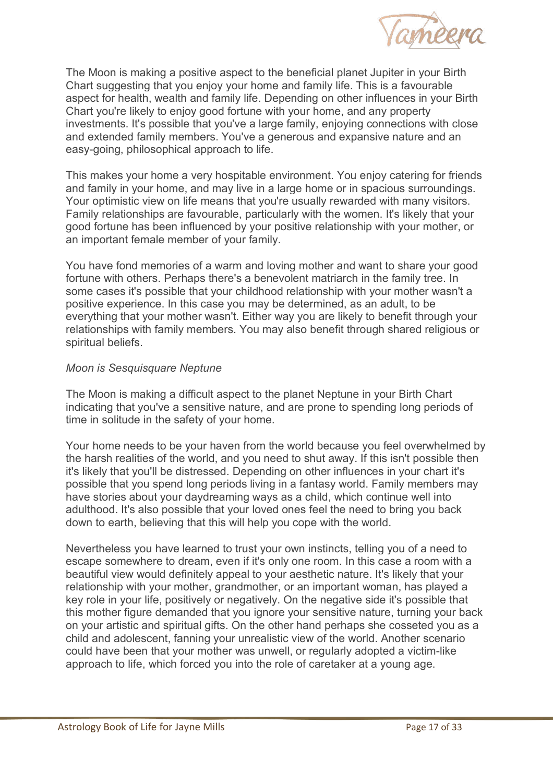

The Moon is making a positive aspect to the beneficial planet Jupiter in your Birth Chart suggesting that you enjoy your home and family life. This is a favourable aspect for health, wealth and family life. Depending on other influences in your Birth Chart you're likely to enjoy good fortune with your home, and any property investments. It's possible that you've a large family, enjoying connections with close and extended family members. You've a generous and expansive nature and an easy-going, philosophical approach to life.

This makes your home a very hospitable environment. You enjoy catering for friends and family in your home, and may live in a large home or in spacious surroundings. Your optimistic view on life means that you're usually rewarded with many visitors. Family relationships are favourable, particularly with the women. It's likely that your good fortune has been influenced by your positive relationship with your mother, or an important female member of your family.

You have fond memories of a warm and loving mother and want to share your good fortune with others. Perhaps there's a benevolent matriarch in the family tree. In some cases it's possible that your childhood relationship with your mother wasn't a positive experience. In this case you may be determined, as an adult, to be everything that your mother wasn't. Either way you are likely to benefit through your relationships with family members. You may also benefit through shared religious or spiritual beliefs.

#### *Moon is Sesquisquare Neptune*

The Moon is making a difficult aspect to the planet Neptune in your Birth Chart indicating that you've a sensitive nature, and are prone to spending long periods of time in solitude in the safety of your home.

Your home needs to be your haven from the world because you feel overwhelmed by the harsh realities of the world, and you need to shut away. If this isn't possible then it's likely that you'll be distressed. Depending on other influences in your chart it's possible that you spend long periods living in a fantasy world. Family members may have stories about your daydreaming ways as a child, which continue well into adulthood. It's also possible that your loved ones feel the need to bring you back down to earth, believing that this will help you cope with the world.

Nevertheless you have learned to trust your own instincts, telling you of a need to escape somewhere to dream, even if it's only one room. In this case a room with a beautiful view would definitely appeal to your aesthetic nature. It's likely that your relationship with your mother, grandmother, or an important woman, has played a key role in your life, positively or negatively. On the negative side it's possible that this mother figure demanded that you ignore your sensitive nature, turning your back on your artistic and spiritual gifts. On the other hand perhaps she cosseted you as a child and adolescent, fanning your unrealistic view of the world. Another scenario could have been that your mother was unwell, or regularly adopted a victim-like approach to life, which forced you into the role of caretaker at a young age.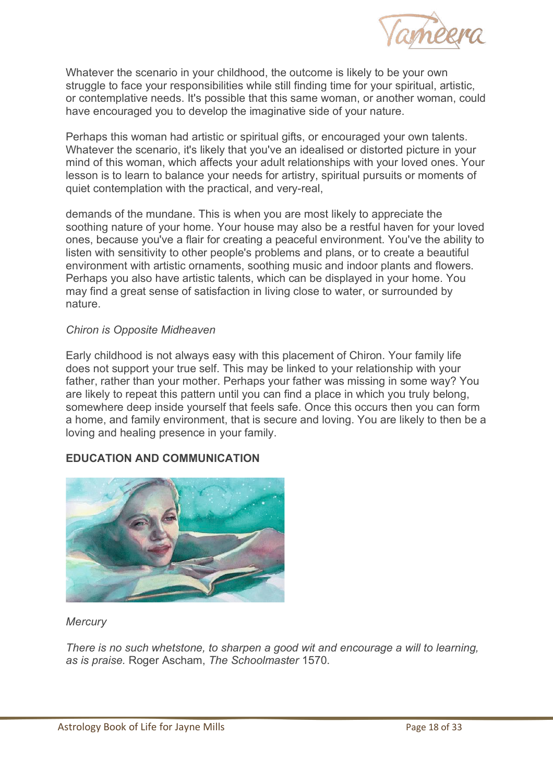

Whatever the scenario in your childhood, the outcome is likely to be your own struggle to face your responsibilities while still finding time for your spiritual, artistic, or contemplative needs. It's possible that this same woman, or another woman, could have encouraged you to develop the imaginative side of your nature.

Perhaps this woman had artistic or spiritual gifts, or encouraged your own talents. Whatever the scenario, it's likely that you've an idealised or distorted picture in your mind of this woman, which affects your adult relationships with your loved ones. Your lesson is to learn to balance your needs for artistry, spiritual pursuits or moments of quiet contemplation with the practical, and very-real,

demands of the mundane. This is when you are most likely to appreciate the soothing nature of your home. Your house may also be a restful haven for your loved ones, because you've a flair for creating a peaceful environment. You've the ability to listen with sensitivity to other people's problems and plans, or to create a beautiful environment with artistic ornaments, soothing music and indoor plants and flowers. Perhaps you also have artistic talents, which can be displayed in your home. You may find a great sense of satisfaction in living close to water, or surrounded by nature.

#### *Chiron is Opposite Midheaven*

Early childhood is not always easy with this placement of Chiron. Your family life does not support your true self. This may be linked to your relationship with your father, rather than your mother. Perhaps your father was missing in some way? You are likely to repeat this pattern until you can find a place in which you truly belong, somewhere deep inside yourself that feels safe. Once this occurs then you can form a home, and family environment, that is secure and loving. You are likely to then be a loving and healing presence in your family.

# **EDUCATION AND COMMUNICATION**



# *Mercury*

*There is no such whetstone, to sharpen a good wit and encourage a will to learning, as is praise.* Roger Ascham, *The Schoolmaster* 1570.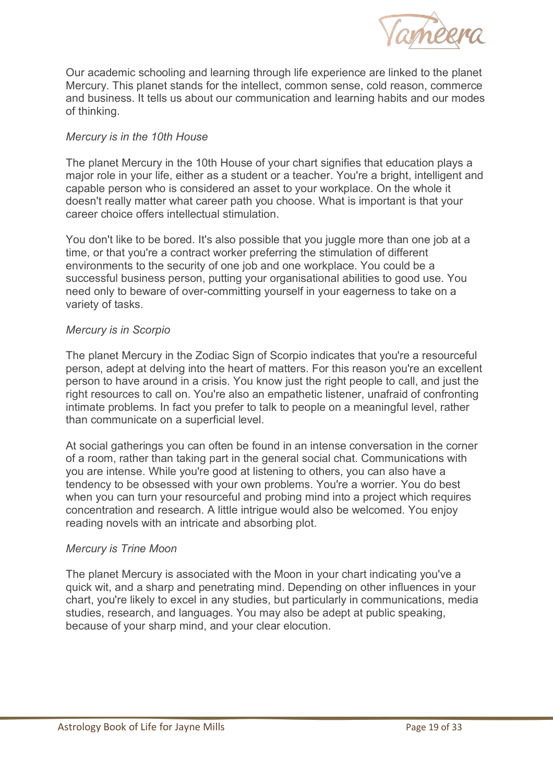

Our academic schooling and learning through life experience are linked to the planet Mercury. This planet stands for the intellect, common sense, cold reason, commerce and business. It tells us about our communication and learning habits and our modes of thinking.

# *Mercury is in the 10th House*

The planet Mercury in the 10th House of your chart signifies that education plays a major role in your life, either as a student or a teacher. You're a bright, intelligent and capable person who is considered an asset to your workplace. On the whole it doesn't really matter what career path you choose. What is important is that your career choice offers intellectual stimulation.

You don't like to be bored. It's also possible that you juggle more than one job at a time, or that you're a contract worker preferring the stimulation of different environments to the security of one job and one workplace. You could be a successful business person, putting your organisational abilities to good use. You need only to beware of over-committing yourself in your eagerness to take on a variety of tasks.

# *Mercury is in Scorpio*

The planet Mercury in the Zodiac Sign of Scorpio indicates that you're a resourceful person, adept at delving into the heart of matters. For this reason you're an excellent person to have around in a crisis. You know just the right people to call, and just the right resources to call on. You're also an empathetic listener, unafraid of confronting intimate problems. In fact you prefer to talk to people on a meaningful level, rather than communicate on a superficial level.

At social gatherings you can often be found in an intense conversation in the corner of a room, rather than taking part in the general social chat. Communications with you are intense. While you're good at listening to others, you can also have a tendency to be obsessed with your own problems. You're a worrier. You do best when you can turn your resourceful and probing mind into a project which requires concentration and research. A little intrigue would also be welcomed. You enjoy reading novels with an intricate and absorbing plot.

#### *Mercury is Trine Moon*

The planet Mercury is associated with the Moon in your chart indicating you've a quick wit, and a sharp and penetrating mind. Depending on other influences in your chart, you're likely to excel in any studies, but particularly in communications, media studies, research, and languages. You may also be adept at public speaking, because of your sharp mind, and your clear elocution.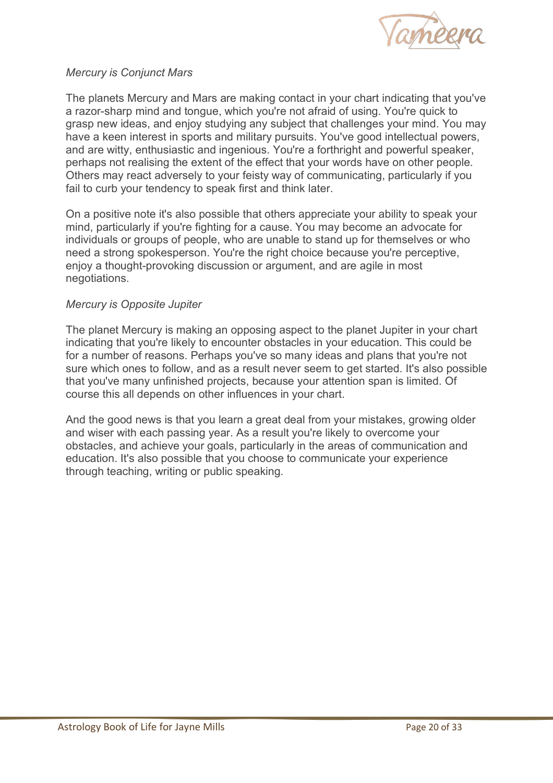

# *Mercury is Conjunct Mars*

The planets Mercury and Mars are making contact in your chart indicating that you've a razor-sharp mind and tongue, which you're not afraid of using. You're quick to grasp new ideas, and enjoy studying any subject that challenges your mind. You may have a keen interest in sports and military pursuits. You've good intellectual powers, and are witty, enthusiastic and ingenious. You're a forthright and powerful speaker, perhaps not realising the extent of the effect that your words have on other people. Others may react adversely to your feisty way of communicating, particularly if you fail to curb your tendency to speak first and think later.

On a positive note it's also possible that others appreciate your ability to speak your mind, particularly if you're fighting for a cause. You may become an advocate for individuals or groups of people, who are unable to stand up for themselves or who need a strong spokesperson. You're the right choice because you're perceptive, enjoy a thought-provoking discussion or argument, and are agile in most negotiations.

#### *Mercury is Opposite Jupiter*

The planet Mercury is making an opposing aspect to the planet Jupiter in your chart indicating that you're likely to encounter obstacles in your education. This could be for a number of reasons. Perhaps you've so many ideas and plans that you're not sure which ones to follow, and as a result never seem to get started. It's also possible that you've many unfinished projects, because your attention span is limited. Of course this all depends on other influences in your chart.

And the good news is that you learn a great deal from your mistakes, growing older and wiser with each passing year. As a result you're likely to overcome your obstacles, and achieve your goals, particularly in the areas of communication and education. It's also possible that you choose to communicate your experience through teaching, writing or public speaking.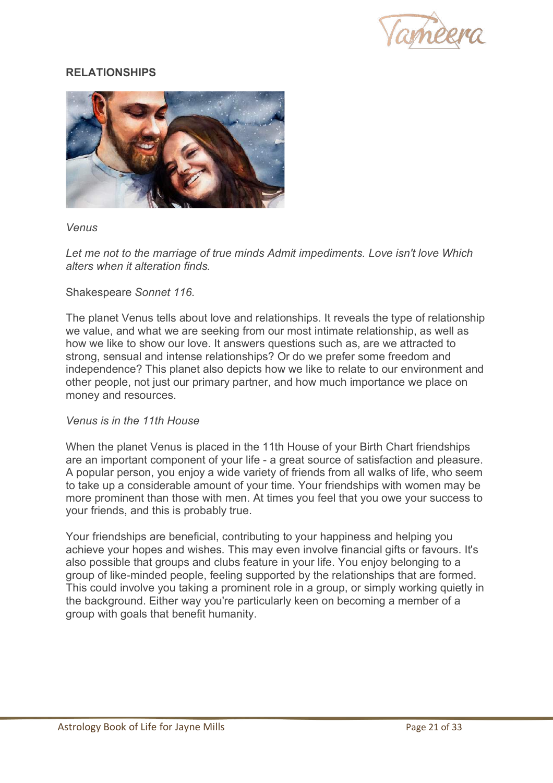

# **RELATIONSHIPS**



#### *Venus*

Let me not to the marriage of true minds Admit impediments. Love isn't love Which *alters when it alteration finds.* 

#### Shakespeare *Sonnet 116.*

The planet Venus tells about love and relationships. It reveals the type of relationship we value, and what we are seeking from our most intimate relationship, as well as how we like to show our love. It answers questions such as, are we attracted to strong, sensual and intense relationships? Or do we prefer some freedom and independence? This planet also depicts how we like to relate to our environment and other people, not just our primary partner, and how much importance we place on money and resources.

#### *Venus is in the 11th House*

When the planet Venus is placed in the 11th House of your Birth Chart friendships are an important component of your life - a great source of satisfaction and pleasure. A popular person, you enjoy a wide variety of friends from all walks of life, who seem to take up a considerable amount of your time. Your friendships with women may be more prominent than those with men. At times you feel that you owe your success to your friends, and this is probably true.

Your friendships are beneficial, contributing to your happiness and helping you achieve your hopes and wishes. This may even involve financial gifts or favours. It's also possible that groups and clubs feature in your life. You enjoy belonging to a group of like-minded people, feeling supported by the relationships that are formed. This could involve you taking a prominent role in a group, or simply working quietly in the background. Either way you're particularly keen on becoming a member of a group with goals that benefit humanity.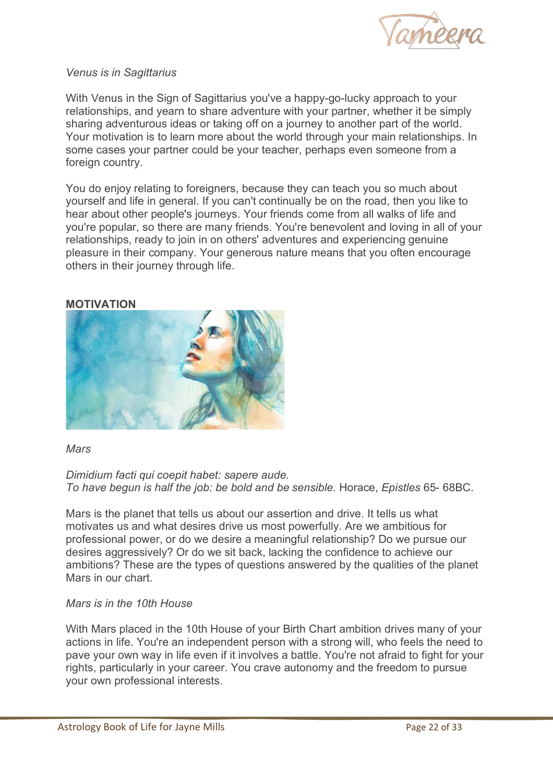

#### *Venus is in Sagittarius*

With Venus in the Sign of Sagittarius you've a happy-go-lucky approach to your relationships, and yearn to share adventure with your partner, whether it be simply sharing adventurous ideas or taking off on a journey to another part of the world. Your motivation is to learn more about the world through your main relationships. In some cases your partner could be your teacher, perhaps even someone from a foreign country.

You do enjoy relating to foreigners, because they can teach you so much about yourself and life in general. If you can't continually be on the road, then you like to hear about other people's journeys. Your friends come from all walks of life and you're popular, so there are many friends. You're benevolent and loving in all of your relationships, ready to join in on others' adventures and experiencing genuine pleasure in their company. Your generous nature means that you often encourage others in their journey through life.

#### **MOTIVATION**



#### *Mars*

*Dimidium facti qui coepit habet: sapere aude. To have begun is half the job: be bold and be sensible.* Horace, *Epistles* 65- 68BC.

Mars is the planet that tells us about our assertion and drive. It tells us what motivates us and what desires drive us most powerfully. Are we ambitious for professional power, or do we desire a meaningful relationship? Do we pursue our desires aggressively? Or do we sit back, lacking the confidence to achieve our ambitions? These are the types of questions answered by the qualities of the planet Mars in our chart.

#### *Mars is in the 10th House*

With Mars placed in the 10th House of your Birth Chart ambition drives many of your actions in life. You're an independent person with a strong will, who feels the need to pave your own way in life even if it involves a battle. You're not afraid to fight for your rights, particularly in your career. You crave autonomy and the freedom to pursue your own professional interests.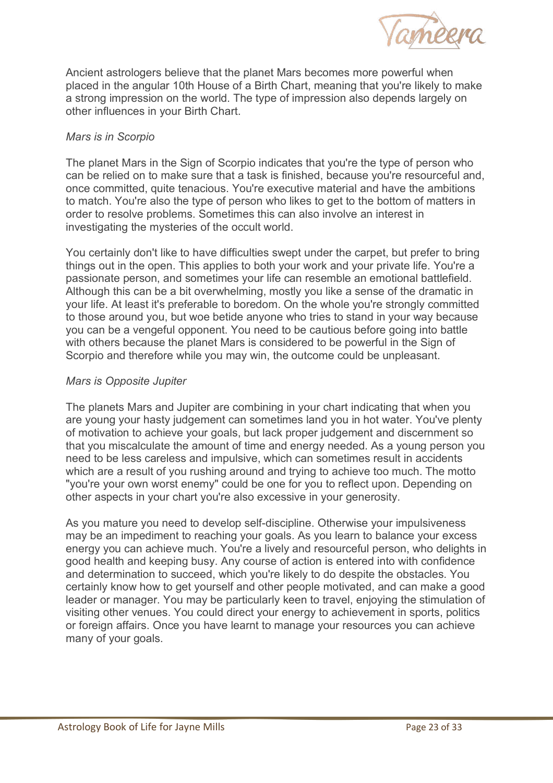

Ancient astrologers believe that the planet Mars becomes more powerful when placed in the angular 10th House of a Birth Chart, meaning that you're likely to make a strong impression on the world. The type of impression also depends largely on other influences in your Birth Chart.

## *Mars is in Scorpio*

The planet Mars in the Sign of Scorpio indicates that you're the type of person who can be relied on to make sure that a task is finished, because you're resourceful and, once committed, quite tenacious. You're executive material and have the ambitions to match. You're also the type of person who likes to get to the bottom of matters in order to resolve problems. Sometimes this can also involve an interest in investigating the mysteries of the occult world.

You certainly don't like to have difficulties swept under the carpet, but prefer to bring things out in the open. This applies to both your work and your private life. You're a passionate person, and sometimes your life can resemble an emotional battlefield. Although this can be a bit overwhelming, mostly you like a sense of the dramatic in your life. At least it's preferable to boredom. On the whole you're strongly committed to those around you, but woe betide anyone who tries to stand in your way because you can be a vengeful opponent. You need to be cautious before going into battle with others because the planet Mars is considered to be powerful in the Sign of Scorpio and therefore while you may win, the outcome could be unpleasant.

# *Mars is Opposite Jupiter*

The planets Mars and Jupiter are combining in your chart indicating that when you are young your hasty judgement can sometimes land you in hot water. You've plenty of motivation to achieve your goals, but lack proper judgement and discernment so that you miscalculate the amount of time and energy needed. As a young person you need to be less careless and impulsive, which can sometimes result in accidents which are a result of you rushing around and trying to achieve too much. The motto "you're your own worst enemy" could be one for you to reflect upon. Depending on other aspects in your chart you're also excessive in your generosity.

As you mature you need to develop self-discipline. Otherwise your impulsiveness may be an impediment to reaching your goals. As you learn to balance your excess energy you can achieve much. You're a lively and resourceful person, who delights in good health and keeping busy. Any course of action is entered into with confidence and determination to succeed, which you're likely to do despite the obstacles. You certainly know how to get yourself and other people motivated, and can make a good leader or manager. You may be particularly keen to travel, enjoying the stimulation of visiting other venues. You could direct your energy to achievement in sports, politics or foreign affairs. Once you have learnt to manage your resources you can achieve many of your goals.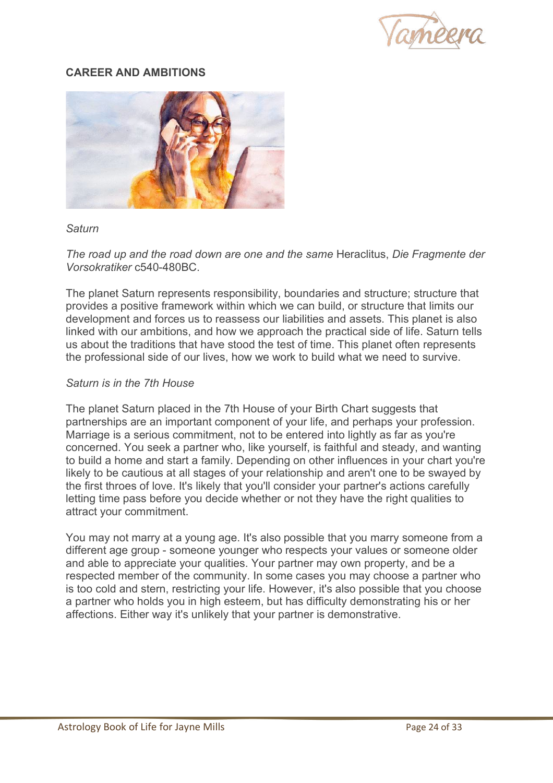

# **CAREER AND AMBITIONS**



#### *Saturn*

*The road up and the road down are one and the same* Heraclitus, *Die Fragmente der Vorsokratiker* c540-480BC.

The planet Saturn represents responsibility, boundaries and structure; structure that provides a positive framework within which we can build, or structure that limits our development and forces us to reassess our liabilities and assets. This planet is also linked with our ambitions, and how we approach the practical side of life. Saturn tells us about the traditions that have stood the test of time. This planet often represents the professional side of our lives, how we work to build what we need to survive.

#### *Saturn is in the 7th House*

The planet Saturn placed in the 7th House of your Birth Chart suggests that partnerships are an important component of your life, and perhaps your profession. Marriage is a serious commitment, not to be entered into lightly as far as you're concerned. You seek a partner who, like yourself, is faithful and steady, and wanting to build a home and start a family. Depending on other influences in your chart you're likely to be cautious at all stages of your relationship and aren't one to be swayed by the first throes of love. It's likely that you'll consider your partner's actions carefully letting time pass before you decide whether or not they have the right qualities to attract your commitment.

You may not marry at a young age. It's also possible that you marry someone from a different age group - someone younger who respects your values or someone older and able to appreciate your qualities. Your partner may own property, and be a respected member of the community. In some cases you may choose a partner who is too cold and stern, restricting your life. However, it's also possible that you choose a partner who holds you in high esteem, but has difficulty demonstrating his or her affections. Either way it's unlikely that your partner is demonstrative.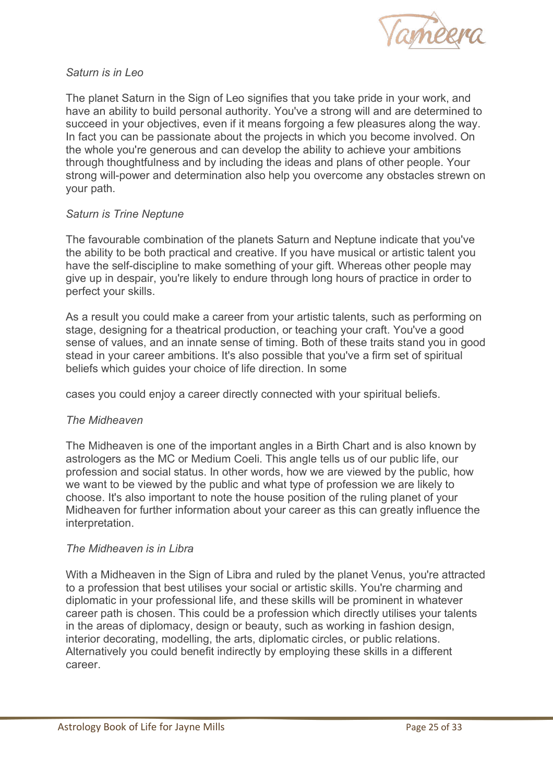

## *Saturn is in Leo*

The planet Saturn in the Sign of Leo signifies that you take pride in your work, and have an ability to build personal authority. You've a strong will and are determined to succeed in your objectives, even if it means forgoing a few pleasures along the way. In fact you can be passionate about the projects in which you become involved. On the whole you're generous and can develop the ability to achieve your ambitions through thoughtfulness and by including the ideas and plans of other people. Your strong will-power and determination also help you overcome any obstacles strewn on your path.

# *Saturn is Trine Neptune*

The favourable combination of the planets Saturn and Neptune indicate that you've the ability to be both practical and creative. If you have musical or artistic talent you have the self-discipline to make something of your gift. Whereas other people may give up in despair, you're likely to endure through long hours of practice in order to perfect your skills.

As a result you could make a career from your artistic talents, such as performing on stage, designing for a theatrical production, or teaching your craft. You've a good sense of values, and an innate sense of timing. Both of these traits stand you in good stead in your career ambitions. It's also possible that you've a firm set of spiritual beliefs which guides your choice of life direction. In some

cases you could enjoy a career directly connected with your spiritual beliefs.

#### *The Midheaven*

The Midheaven is one of the important angles in a Birth Chart and is also known by astrologers as the MC or Medium Coeli. This angle tells us of our public life, our profession and social status. In other words, how we are viewed by the public, how we want to be viewed by the public and what type of profession we are likely to choose. It's also important to note the house position of the ruling planet of your Midheaven for further information about your career as this can greatly influence the interpretation.

#### *The Midheaven is in Libra*

With a Midheaven in the Sign of Libra and ruled by the planet Venus, you're attracted to a profession that best utilises your social or artistic skills. You're charming and diplomatic in your professional life, and these skills will be prominent in whatever career path is chosen. This could be a profession which directly utilises your talents in the areas of diplomacy, design or beauty, such as working in fashion design, interior decorating, modelling, the arts, diplomatic circles, or public relations. Alternatively you could benefit indirectly by employing these skills in a different career.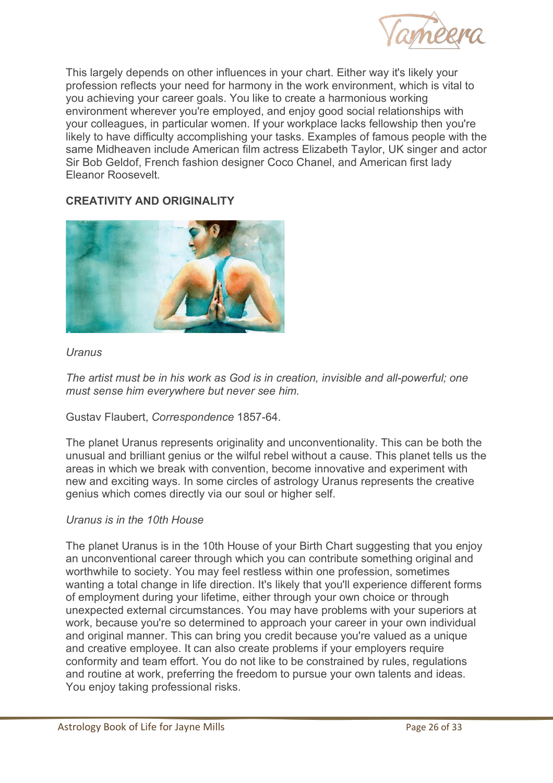

This largely depends on other influences in your chart. Either way it's likely your profession reflects your need for harmony in the work environment, which is vital to you achieving your career goals. You like to create a harmonious working environment wherever you're employed, and enjoy good social relationships with your colleagues, in particular women. If your workplace lacks fellowship then you're likely to have difficulty accomplishing your tasks. Examples of famous people with the same Midheaven include American film actress Elizabeth Taylor, UK singer and actor Sir Bob Geldof, French fashion designer Coco Chanel, and American first lady Eleanor Roosevelt.

# **CREATIVITY AND ORIGINALITY**



# *Uranus*

*The artist must be in his work as God is in creation, invisible and all-powerful; one must sense him everywhere but never see him.* 

# Gustav Flaubert, *Correspondence* 1857-64.

The planet Uranus represents originality and unconventionality. This can be both the unusual and brilliant genius or the wilful rebel without a cause. This planet tells us the areas in which we break with convention, become innovative and experiment with new and exciting ways. In some circles of astrology Uranus represents the creative genius which comes directly via our soul or higher self.

#### *Uranus is in the 10th House*

The planet Uranus is in the 10th House of your Birth Chart suggesting that you enjoy an unconventional career through which you can contribute something original and worthwhile to society. You may feel restless within one profession, sometimes wanting a total change in life direction. It's likely that you'll experience different forms of employment during your lifetime, either through your own choice or through unexpected external circumstances. You may have problems with your superiors at work, because you're so determined to approach your career in your own individual and original manner. This can bring you credit because you're valued as a unique and creative employee. It can also create problems if your employers require conformity and team effort. You do not like to be constrained by rules, regulations and routine at work, preferring the freedom to pursue your own talents and ideas. You enjoy taking professional risks.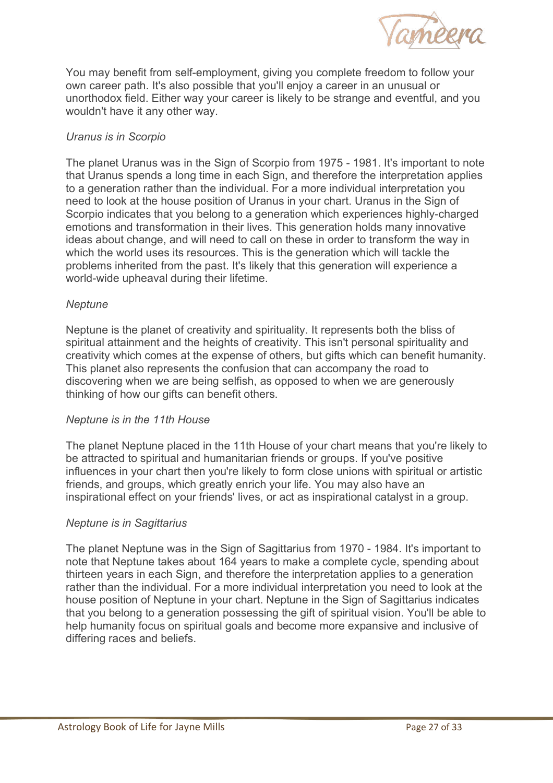

You may benefit from self-employment, giving you complete freedom to follow your own career path. It's also possible that you'll enjoy a career in an unusual or unorthodox field. Either way your career is likely to be strange and eventful, and you wouldn't have it any other way.

# *Uranus is in Scorpio*

The planet Uranus was in the Sign of Scorpio from 1975 - 1981. It's important to note that Uranus spends a long time in each Sign, and therefore the interpretation applies to a generation rather than the individual. For a more individual interpretation you need to look at the house position of Uranus in your chart. Uranus in the Sign of Scorpio indicates that you belong to a generation which experiences highly-charged emotions and transformation in their lives. This generation holds many innovative ideas about change, and will need to call on these in order to transform the way in which the world uses its resources. This is the generation which will tackle the problems inherited from the past. It's likely that this generation will experience a world-wide upheaval during their lifetime.

#### *Neptune*

Neptune is the planet of creativity and spirituality. It represents both the bliss of spiritual attainment and the heights of creativity. This isn't personal spirituality and creativity which comes at the expense of others, but gifts which can benefit humanity. This planet also represents the confusion that can accompany the road to discovering when we are being selfish, as opposed to when we are generously thinking of how our gifts can benefit others.

#### *Neptune is in the 11th House*

The planet Neptune placed in the 11th House of your chart means that you're likely to be attracted to spiritual and humanitarian friends or groups. If you've positive influences in your chart then you're likely to form close unions with spiritual or artistic friends, and groups, which greatly enrich your life. You may also have an inspirational effect on your friends' lives, or act as inspirational catalyst in a group.

#### *Neptune is in Sagittarius*

The planet Neptune was in the Sign of Sagittarius from 1970 - 1984. It's important to note that Neptune takes about 164 years to make a complete cycle, spending about thirteen years in each Sign, and therefore the interpretation applies to a generation rather than the individual. For a more individual interpretation you need to look at the house position of Neptune in your chart. Neptune in the Sign of Sagittarius indicates that you belong to a generation possessing the gift of spiritual vision. You'll be able to help humanity focus on spiritual goals and become more expansive and inclusive of differing races and beliefs.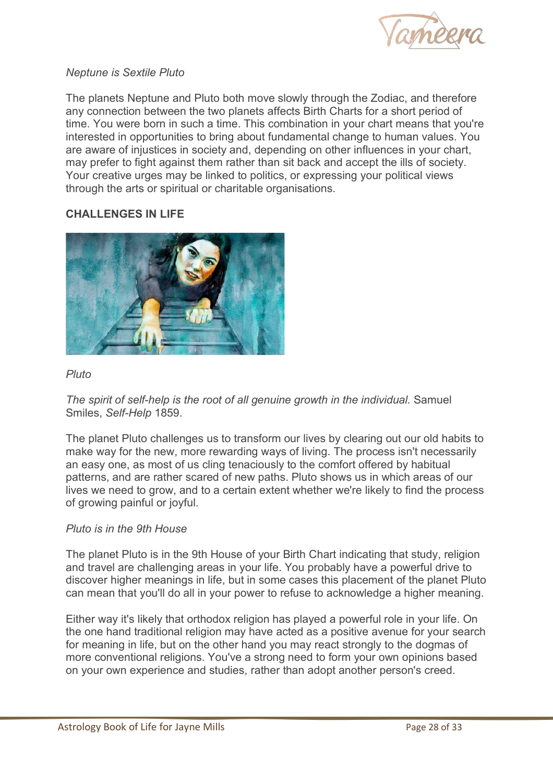

# *Neptune is Sextile Pluto*

The planets Neptune and Pluto both move slowly through the Zodiac, and therefore any connection between the two planets affects Birth Charts for a short period of time. You were born in such a time. This combination in your chart means that you're interested in opportunities to bring about fundamental change to human values. You are aware of injustices in society and, depending on other influences in your chart, may prefer to fight against them rather than sit back and accept the ills of society. Your creative urges may be linked to politics, or expressing your political views through the arts or spiritual or charitable organisations.

# **CHALLENGES IN LIFE**



# *Pluto*

*The spirit of self-help is the root of all genuine growth in the individual.* Samuel Smiles, *Self-Help* 1859.

The planet Pluto challenges us to transform our lives by clearing out our old habits to make way for the new, more rewarding ways of living. The process isn't necessarily an easy one, as most of us cling tenaciously to the comfort offered by habitual patterns, and are rather scared of new paths. Pluto shows us in which areas of our lives we need to grow, and to a certain extent whether we're likely to find the process of growing painful or joyful.

#### *Pluto is in the 9th House*

The planet Pluto is in the 9th House of your Birth Chart indicating that study, religion and travel are challenging areas in your life. You probably have a powerful drive to discover higher meanings in life, but in some cases this placement of the planet Pluto can mean that you'll do all in your power to refuse to acknowledge a higher meaning.

Either way it's likely that orthodox religion has played a powerful role in your life. On the one hand traditional religion may have acted as a positive avenue for your search for meaning in life, but on the other hand you may react strongly to the dogmas of more conventional religions. You've a strong need to form your own opinions based on your own experience and studies, rather than adopt another person's creed.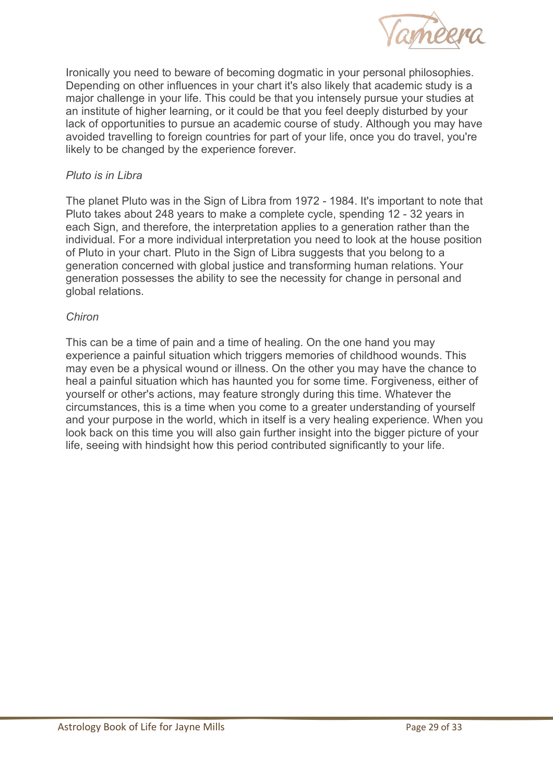

Ironically you need to beware of becoming dogmatic in your personal philosophies. Depending on other influences in your chart it's also likely that academic study is a major challenge in your life. This could be that you intensely pursue your studies at an institute of higher learning, or it could be that you feel deeply disturbed by your lack of opportunities to pursue an academic course of study. Although you may have avoided travelling to foreign countries for part of your life, once you do travel, you're likely to be changed by the experience forever.

# *Pluto is in Libra*

The planet Pluto was in the Sign of Libra from 1972 - 1984. It's important to note that Pluto takes about 248 years to make a complete cycle, spending 12 - 32 years in each Sign, and therefore, the interpretation applies to a generation rather than the individual. For a more individual interpretation you need to look at the house position of Pluto in your chart. Pluto in the Sign of Libra suggests that you belong to a generation concerned with global justice and transforming human relations. Your generation possesses the ability to see the necessity for change in personal and global relations.

#### *Chiron*

This can be a time of pain and a time of healing. On the one hand you may experience a painful situation which triggers memories of childhood wounds. This may even be a physical wound or illness. On the other you may have the chance to heal a painful situation which has haunted you for some time. Forgiveness, either of yourself or other's actions, may feature strongly during this time. Whatever the circumstances, this is a time when you come to a greater understanding of yourself and your purpose in the world, which in itself is a very healing experience. When you look back on this time you will also gain further insight into the bigger picture of your life, seeing with hindsight how this period contributed significantly to your life.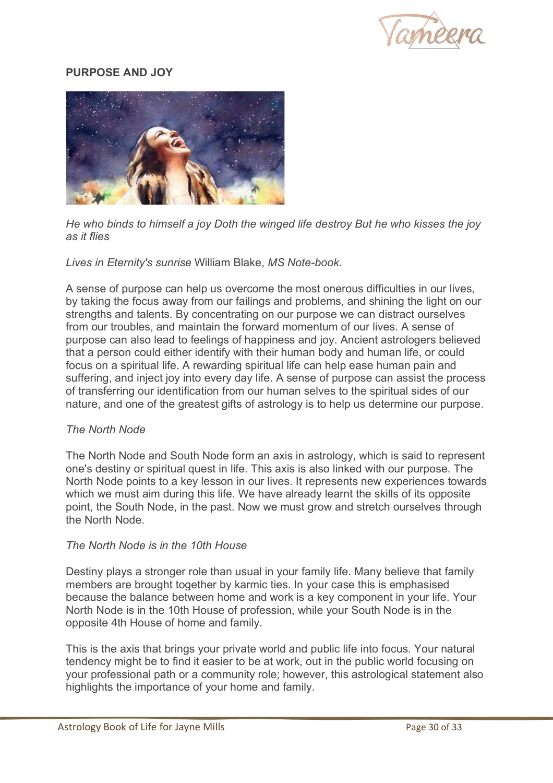

# **PURPOSE AND JOY**



*He who binds to himself a joy Doth the winged life destroy But he who kisses the joy as it flies* 

*Lives in Eternity's sunrise* William Blake, *MS Note-book.* 

A sense of purpose can help us overcome the most onerous difficulties in our lives, by taking the focus away from our failings and problems, and shining the light on our strengths and talents. By concentrating on our purpose we can distract ourselves from our troubles, and maintain the forward momentum of our lives. A sense of purpose can also lead to feelings of happiness and joy. Ancient astrologers believed that a person could either identify with their human body and human life, or could focus on a spiritual life. A rewarding spiritual life can help ease human pain and suffering, and inject joy into every day life. A sense of purpose can assist the process of transferring our identification from our human selves to the spiritual sides of our nature, and one of the greatest gifts of astrology is to help us determine our purpose.

#### *The North Node*

The North Node and South Node form an axis in astrology, which is said to represent one's destiny or spiritual quest in life. This axis is also linked with our purpose. The North Node points to a key lesson in our lives. It represents new experiences towards which we must aim during this life. We have already learnt the skills of its opposite point, the South Node, in the past. Now we must grow and stretch ourselves through the North Node.

#### *The North Node is in the 10th House*

Destiny plays a stronger role than usual in your family life. Many believe that family members are brought together by karmic ties. In your case this is emphasised because the balance between home and work is a key component in your life. Your North Node is in the 10th House of profession, while your South Node is in the opposite 4th House of home and family.

This is the axis that brings your private world and public life into focus. Your natural tendency might be to find it easier to be at work, out in the public world focusing on your professional path or a community role; however, this astrological statement also highlights the importance of your home and family.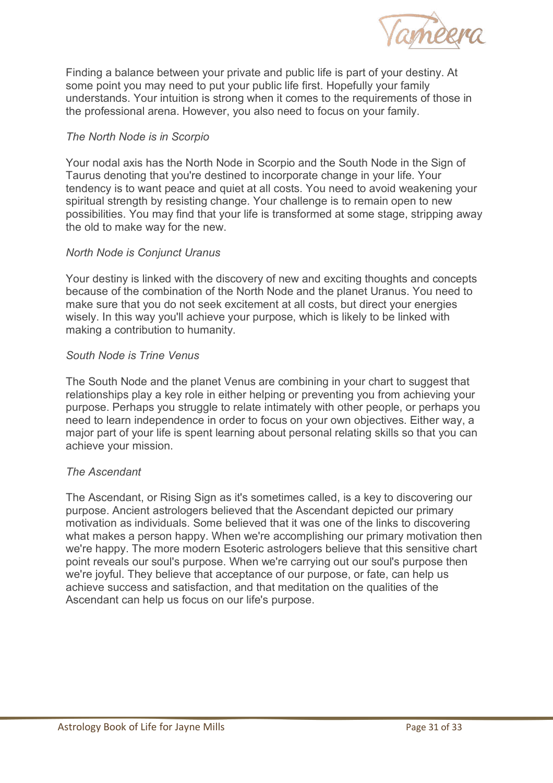

Finding a balance between your private and public life is part of your destiny. At some point you may need to put your public life first. Hopefully your family understands. Your intuition is strong when it comes to the requirements of those in the professional arena. However, you also need to focus on your family.

# *The North Node is in Scorpio*

Your nodal axis has the North Node in Scorpio and the South Node in the Sign of Taurus denoting that you're destined to incorporate change in your life. Your tendency is to want peace and quiet at all costs. You need to avoid weakening your spiritual strength by resisting change. Your challenge is to remain open to new possibilities. You may find that your life is transformed at some stage, stripping away the old to make way for the new.

#### *North Node is Conjunct Uranus*

Your destiny is linked with the discovery of new and exciting thoughts and concepts because of the combination of the North Node and the planet Uranus. You need to make sure that you do not seek excitement at all costs, but direct your energies wisely. In this way you'll achieve your purpose, which is likely to be linked with making a contribution to humanity.

# *South Node is Trine Venus*

The South Node and the planet Venus are combining in your chart to suggest that relationships play a key role in either helping or preventing you from achieving your purpose. Perhaps you struggle to relate intimately with other people, or perhaps you need to learn independence in order to focus on your own objectives. Either way, a major part of your life is spent learning about personal relating skills so that you can achieve your mission.

#### *The Ascendant*

The Ascendant, or Rising Sign as it's sometimes called, is a key to discovering our purpose. Ancient astrologers believed that the Ascendant depicted our primary motivation as individuals. Some believed that it was one of the links to discovering what makes a person happy. When we're accomplishing our primary motivation then we're happy. The more modern Esoteric astrologers believe that this sensitive chart point reveals our soul's purpose. When we're carrying out our soul's purpose then we're joyful. They believe that acceptance of our purpose, or fate, can help us achieve success and satisfaction, and that meditation on the qualities of the Ascendant can help us focus on our life's purpose.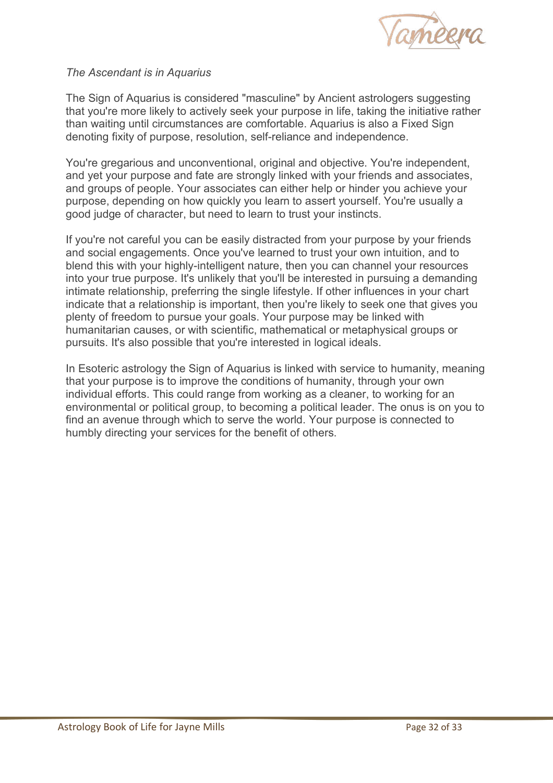

# *The Ascendant is in Aquarius*

The Sign of Aquarius is considered "masculine" by Ancient astrologers suggesting that you're more likely to actively seek your purpose in life, taking the initiative rather than waiting until circumstances are comfortable. Aquarius is also a Fixed Sign denoting fixity of purpose, resolution, self-reliance and independence.

You're gregarious and unconventional, original and objective. You're independent, and yet your purpose and fate are strongly linked with your friends and associates, and groups of people. Your associates can either help or hinder you achieve your purpose, depending on how quickly you learn to assert yourself. You're usually a good judge of character, but need to learn to trust your instincts.

If you're not careful you can be easily distracted from your purpose by your friends and social engagements. Once you've learned to trust your own intuition, and to blend this with your highly-intelligent nature, then you can channel your resources into your true purpose. It's unlikely that you'll be interested in pursuing a demanding intimate relationship, preferring the single lifestyle. If other influences in your chart indicate that a relationship is important, then you're likely to seek one that gives you plenty of freedom to pursue your goals. Your purpose may be linked with humanitarian causes, or with scientific, mathematical or metaphysical groups or pursuits. It's also possible that you're interested in logical ideals.

In Esoteric astrology the Sign of Aquarius is linked with service to humanity, meaning that your purpose is to improve the conditions of humanity, through your own individual efforts. This could range from working as a cleaner, to working for an environmental or political group, to becoming a political leader. The onus is on you to find an avenue through which to serve the world. Your purpose is connected to humbly directing your services for the benefit of others.